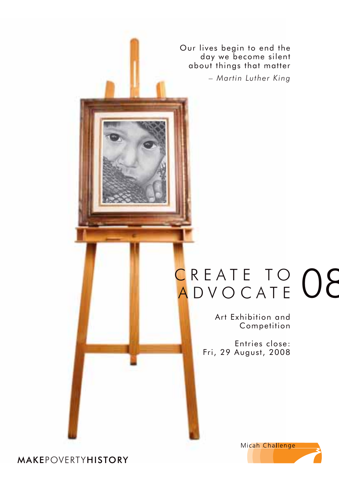Our lives begin to end the day we become silent about things that matter

*– Martin Luther King*

## CREATE TO **08**

Art Exhibition and Competition

Entries close: Fri, 29 August, 2008



**MAKEPOVERTYHISTORY**